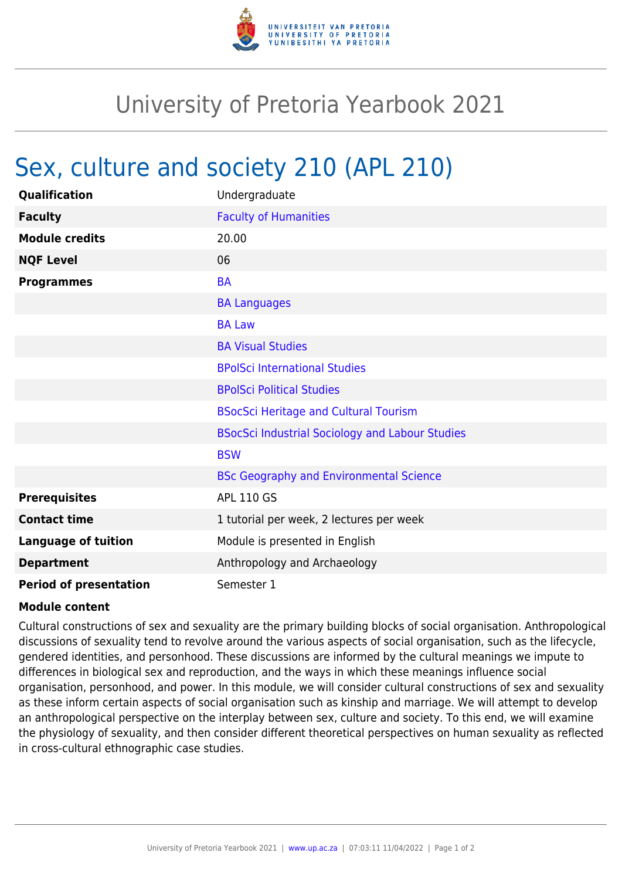

## University of Pretoria Yearbook 2021

## Sex, culture and society 210 (APL 210)

| Qualification                 | Undergraduate                                          |
|-------------------------------|--------------------------------------------------------|
| <b>Faculty</b>                | <b>Faculty of Humanities</b>                           |
| <b>Module credits</b>         | 20.00                                                  |
| <b>NQF Level</b>              | 06                                                     |
| <b>Programmes</b>             | <b>BA</b>                                              |
|                               | <b>BA Languages</b>                                    |
|                               | <b>BA Law</b>                                          |
|                               | <b>BA Visual Studies</b>                               |
|                               | <b>BPolSci International Studies</b>                   |
|                               | <b>BPolSci Political Studies</b>                       |
|                               | <b>BSocSci Heritage and Cultural Tourism</b>           |
|                               | <b>BSocSci Industrial Sociology and Labour Studies</b> |
|                               | <b>BSW</b>                                             |
|                               | <b>BSc Geography and Environmental Science</b>         |
| <b>Prerequisites</b>          | <b>APL 110 GS</b>                                      |
| <b>Contact time</b>           | 1 tutorial per week, 2 lectures per week               |
| <b>Language of tuition</b>    | Module is presented in English                         |
| <b>Department</b>             | Anthropology and Archaeology                           |
| <b>Period of presentation</b> | Semester 1                                             |

## **Module content**

Cultural constructions of sex and sexuality are the primary building blocks of social organisation. Anthropological discussions of sexuality tend to revolve around the various aspects of social organisation, such as the lifecycle, gendered identities, and personhood. These discussions are informed by the cultural meanings we impute to differences in biological sex and reproduction, and the ways in which these meanings influence social organisation, personhood, and power. In this module, we will consider cultural constructions of sex and sexuality as these inform certain aspects of social organisation such as kinship and marriage. We will attempt to develop an anthropological perspective on the interplay between sex, culture and society. To this end, we will examine the physiology of sexuality, and then consider different theoretical perspectives on human sexuality as reflected in cross-cultural ethnographic case studies.